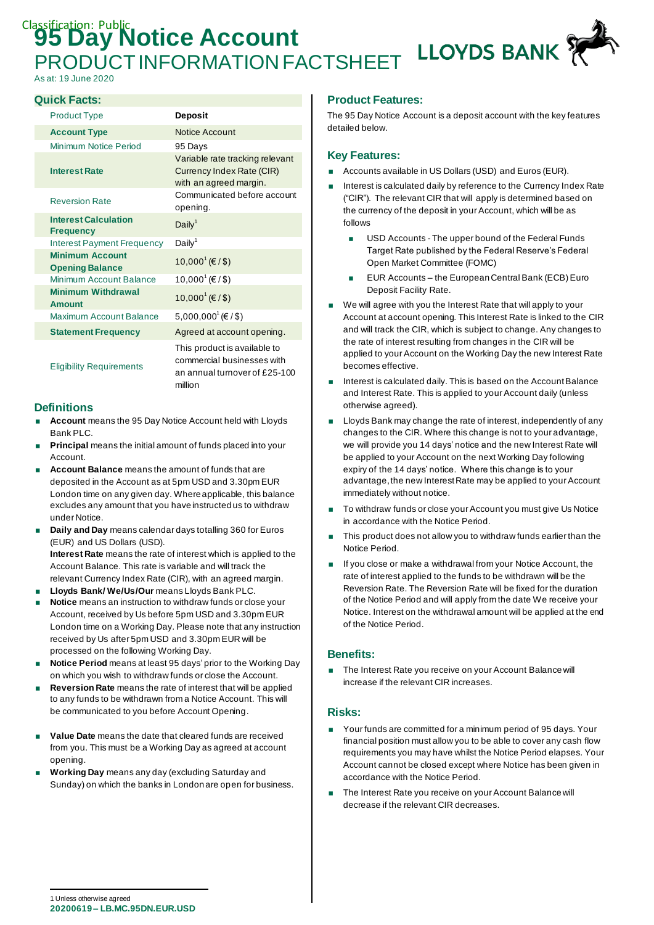# **Classification: Public Account** LLOYDS BANK PRODUCT INFORMATION FACTSHEET

As at: 19 June 2020

#### **Quick Facts:**

| <b>Product Type</b>                              | <b>Deposit</b>                                                                                         |
|--------------------------------------------------|--------------------------------------------------------------------------------------------------------|
| <b>Account Type</b>                              | <b>Notice Account</b>                                                                                  |
| Minimum Notice Period                            | 95 Days                                                                                                |
| <b>Interest Rate</b>                             | Variable rate tracking relevant<br>Currency Index Rate (CIR)<br>with an agreed margin.                 |
| <b>Reversion Rate</b>                            | Communicated before account<br>opening.                                                                |
| <b>Interest Calculation</b><br><b>Frequency</b>  | Daily <sup>1</sup>                                                                                     |
| Interest Payment Frequency                       | Daily <sup>1</sup>                                                                                     |
| <b>Minimum Account</b><br><b>Opening Balance</b> | 10,000 <sup>1</sup> (€/\$)                                                                             |
| Minimum Account Balance                          | 10,000 <sup><math>1</math></sup> (€ / \$)                                                              |
| <b>Minimum Withdrawal</b><br><b>Amount</b>       | $10,000^1$ (€ / \$)                                                                                    |
| Maximum Account Balance                          | 5,000,000 <sup>1</sup> (€/\$)                                                                          |
| <b>Statement Frequency</b>                       | Agreed at account opening.                                                                             |
| <b>Eligibility Requirements</b>                  | This product is available to<br>commercial businesses with<br>an annual turnover of £25-100<br>million |

#### **Definitions**

- **Account** means the 95 Day Notice Account held with Lloyds Bank PLC.
- **Principal** means the initial amount of funds placed into your Account.
- **Account Balance** means the amount of funds that are deposited in the Account as at 5pm USD and 3.30pm EUR London time on any given day. Where applicable, this balance excludes any amount that you have instructed us to withdraw under Notice.
- **Daily and Day** means calendar days totalling 360 for Euros (EUR) and US Dollars (USD). **Interest Rate** means the rate of interest which is applied to the Account Balance. This rate is variable and will track the relevant Currency Index Rate (CIR), with an agreed margin.
- **Lloyds Bank/ We/Us/Our** means Lloyds Bank PLC.
- **Notice** means an instruction to withdraw funds or close your Account, received by Us before 5pm USD and 3.30pm EUR London time on a Working Day. Please note that any instruction received by Us after 5pm USD and 3.30pm EUR will be processed on the following Working Day.
- **Notice Period** means at least 95 days' prior to the Working Day on which you wish to withdraw funds or close the Account.
- **Reversion Rate** means the rate of interest that will be applied to any funds to be withdrawn from a Notice Account. This will be communicated to you before Account Opening.
- **Value Date** means the date that cleared funds are received from you. This must be a Working Day as agreed at account opening.
- **Working Day** means any day (excluding Saturday and Sunday) on which the banks in London are open for business.

# **Product Features:**

The 95 Day Notice Account is a deposit account with the key features detailed below.

#### **Key Features:**

- Accounts available in US Dollars (USD) and Euros (EUR).
- Interest is calculated daily by reference to the Currency Index Rate ("CIR"). The relevant CIR that will apply is determined based on the currency of the deposit in your Account, which will be as follows
	- **USD Accounts The upper bound of the Federal Funds** Target Rate published by the Federal Reserve's Federal Open Market Committee (FOMC)
	- **EUR Accounts the European Central Bank (ECB) Euro** Deposit Facility Rate.
- We will agree with you the Interest Rate that will apply to your Account at account opening. This Interest Rate is linked to the CIR and will track the CIR, which is subject to change. Any changes to the rate of interest resulting from changes in the CIR will be applied to your Account on the Working Day the new Interest Rate becomes effective.
- Interest is calculated daily. This is based on the Account Balance and Interest Rate. This is applied to your Account daily (unless otherwise agreed).
- **Lloyds Bank may change the rate of interest, independently of any** changes to the CIR. Where this change is not to your advantage, we will provide you 14 days' notice and the new Interest Rate will be applied to your Account on the next Working Day following expiry of the 14 days' notice. Where this change is to your advantage, the new Interest Rate may be applied to your Account immediately without notice.
- To withdraw funds or close your Account you must give Us Notice in accordance with the Notice Period.
- This product does not allow you to withdraw funds earlier than the Notice Period.
- If you close or make a withdrawal from your Notice Account, the rate of interest applied to the funds to be withdrawn will be the Reversion Rate. The Reversion Rate will be fixed for the duration of the Notice Period and will apply from the date We receive your Notice. Interest on the withdrawal amount will be applied at the end of the Notice Period.

# **Benefits:**

■ The Interest Rate you receive on your Account Balance will increase if the relevant CIR increases.

#### **Risks:**

- Your funds are committed for a minimum period of 95 days. Your financial position must allow you to be able to cover any cash flow requirements you may have whilst the Notice Period elapses. Your Account cannot be closed except where Notice has been given in accordance with the Notice Period.
- The Interest Rate you receive on your Account Balance will decrease if the relevant CIR decreases.

**<sup>20200619</sup> – LB.MC.95DN.EUR.USD** 1 Unless otherwise agreed